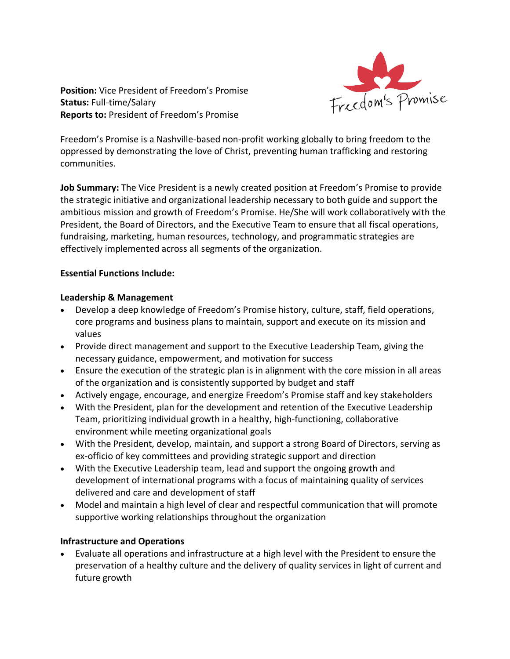

**Position:** Vice President of Freedom's Promise **Status:** Full-time/Salary **Reports to:** President of Freedom's Promise

Freedom's Promise is a Nashville-based non-profit working globally to bring freedom to the oppressed by demonstrating the love of Christ, preventing human trafficking and restoring communities.

**Job Summary:** The Vice President is a newly created position at Freedom's Promise to provide the strategic initiative and organizational leadership necessary to both guide and support the ambitious mission and growth of Freedom's Promise. He/She will work collaboratively with the President, the Board of Directors, and the Executive Team to ensure that all fiscal operations, fundraising, marketing, human resources, technology, and programmatic strategies are effectively implemented across all segments of the organization.

#### **Essential Functions Include:**

#### **Leadership & Management**

- Develop a deep knowledge of Freedom's Promise history, culture, staff, field operations, core programs and business plans to maintain, support and execute on its mission and values
- Provide direct management and support to the Executive Leadership Team, giving the necessary guidance, empowerment, and motivation for success
- Ensure the execution of the strategic plan is in alignment with the core mission in all areas of the organization and is consistently supported by budget and staff
- Actively engage, encourage, and energize Freedom's Promise staff and key stakeholders
- With the President, plan for the development and retention of the Executive Leadership Team, prioritizing individual growth in a healthy, high-functioning, collaborative environment while meeting organizational goals
- With the President, develop, maintain, and support a strong Board of Directors, serving as ex-officio of key committees and providing strategic support and direction
- With the Executive Leadership team, lead and support the ongoing growth and development of international programs with a focus of maintaining quality of services delivered and care and development of staff
- Model and maintain a high level of clear and respectful communication that will promote supportive working relationships throughout the organization

### **Infrastructure and Operations**

• Evaluate all operations and infrastructure at a high level with the President to ensure the preservation of a healthy culture and the delivery of quality services in light of current and future growth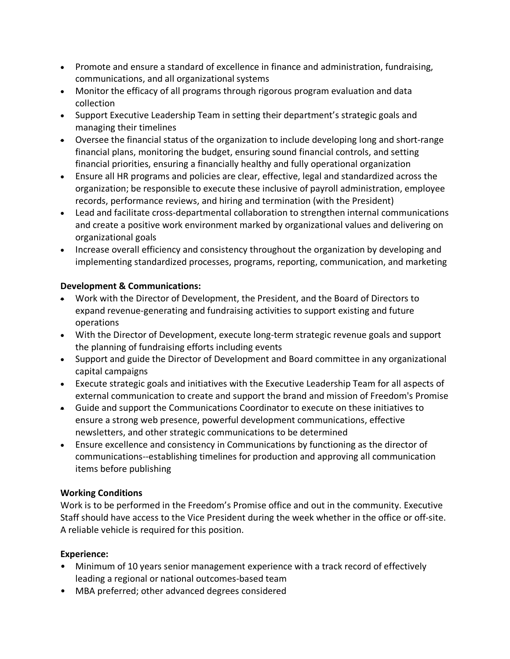- Promote and ensure a standard of excellence in finance and administration, fundraising, communications, and all organizational systems
- Monitor the efficacy of all programs through rigorous program evaluation and data collection
- Support Executive Leadership Team in setting their department's strategic goals and managing their timelines
- Oversee the financial status of the organization to include developing long and short-range financial plans, monitoring the budget, ensuring sound financial controls, and setting financial priorities, ensuring a financially healthy and fully operational organization
- Ensure all HR programs and policies are clear, effective, legal and standardized across the organization; be responsible to execute these inclusive of payroll administration, employee records, performance reviews, and hiring and termination (with the President)
- Lead and facilitate cross-departmental collaboration to strengthen internal communications and create a positive work environment marked by organizational values and delivering on organizational goals
- Increase overall efficiency and consistency throughout the organization by developing and implementing standardized processes, programs, reporting, communication, and marketing

## **Development & Communications:**

- Work with the Director of Development, the President, and the Board of Directors to expand revenue-generating and fundraising activities to support existing and future operations
- With the Director of Development, execute long-term strategic revenue goals and support the planning of fundraising efforts including events
- Support and guide the Director of Development and Board committee in any organizational capital campaigns
- Execute strategic goals and initiatives with the Executive Leadership Team for all aspects of external communication to create and support the brand and mission of Freedom's Promise
- Guide and support the Communications Coordinator to execute on these initiatives to ensure a strong web presence, powerful development communications, effective newsletters, and other strategic communications to be determined
- Ensure excellence and consistency in Communications by functioning as the director of communications--establishing timelines for production and approving all communication items before publishing

# **Working Conditions**

Work is to be performed in the Freedom's Promise office and out in the community. Executive Staff should have access to the Vice President during the week whether in the office or off-site. A reliable vehicle is required for this position.

# **Experience:**

- Minimum of 10 years senior management experience with a track record of effectively leading a regional or national outcomes-based team
- MBA preferred; other advanced degrees considered